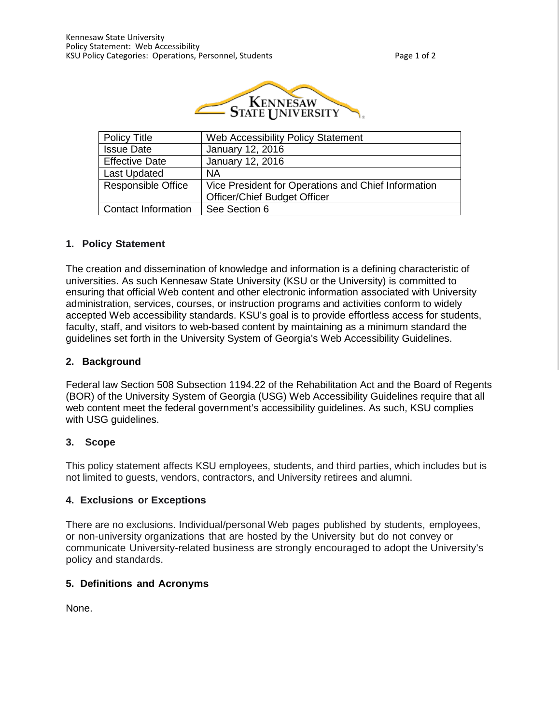

| Policy Title               | Web Accessibility Policy Statement                  |  |  |
|----------------------------|-----------------------------------------------------|--|--|
| <b>Issue Date</b>          | January 12, 2016                                    |  |  |
| <b>Effective Date</b>      | January 12, 2016                                    |  |  |
| <b>Last Updated</b>        | <b>NA</b>                                           |  |  |
| <b>Responsible Office</b>  | Vice President for Operations and Chief Information |  |  |
|                            | <b>Officer/Chief Budget Officer</b>                 |  |  |
| <b>Contact Information</b> | See Section 6                                       |  |  |

### **1. Policy Statement**

The creation and dissemination of knowledge and information is a defining characteristic of universities. As such Kennesaw State University (KSU or the University) is committed to ensuring that official Web content and other electronic information associated with University administration, services, courses, or instruction programs and activities conform to widely accepted Web accessibility standards. KSU's goal is to provide effortless access for students, faculty, staff, and visitors to web-based content by maintaining as a minimum standard the guidelines set forth in the University System of Georgia's Web Accessibility Guidelines.

#### **2. Background**

Federal law Section 508 Subsection 1194.22 of the Rehabilitation Act and the Board of Regents (BOR) of the University System of Georgia (USG) Web Accessibility Guidelines require that all web content meet the federal government's accessibility guidelines. As such, KSU complies with USG guidelines.

#### **3. Scope**

This policy statement affects KSU employees, students, and third parties, which includes but is not limited to guests, vendors, contractors, and University retirees and alumni.

### **4. Exclusions or Exceptions**

There are no exclusions. Individual/personal Web pages published by students, employees, or non-university organizations that are hosted by the University but do not convey or communicate University-related business are strongly encouraged to adopt the University's policy and standards.

### **5. Definitions and Acronyms**

None.